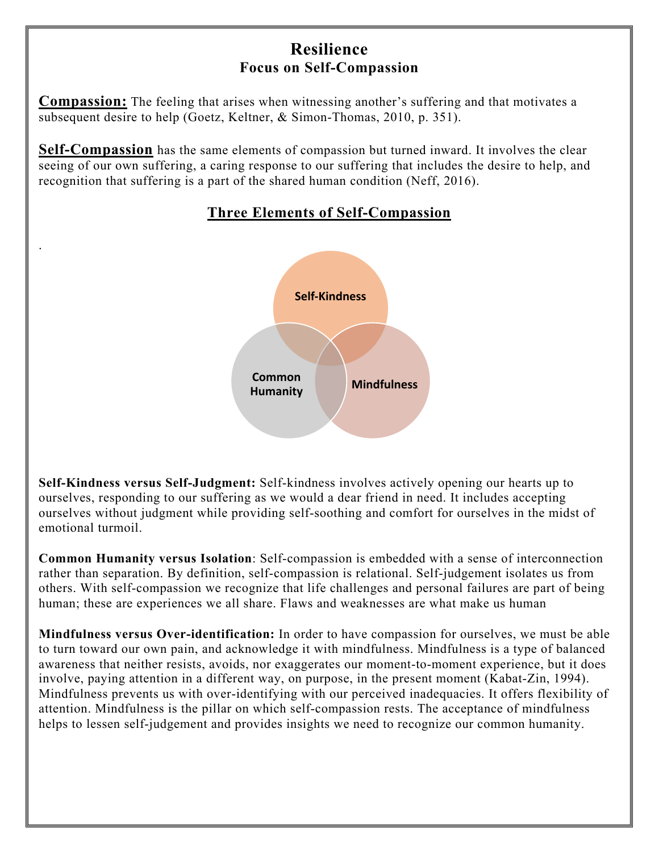# **Resilience Focus on Self-Compassion**

**Compassion:** The feeling that arises when witnessing another's suffering and that motivates a subsequent desire to help (Goetz, Keltner, & Simon-Thomas, 2010, p. 351).

**Self-Compassion** has the same elements of compassion but turned inward. It involves the clear seeing of our own suffering, a caring response to our suffering that includes the desire to help, and recognition that suffering is a part of the shared human condition (Neff, 2016).

.



# **Three Elements of Self-Compassion**

**Self-Kindness versus Self-Judgment:** Self-kindness involves actively opening our hearts up to ourselves, responding to our suffering as we would a dear friend in need. It includes accepting ourselves without judgment while providing self-soothing and comfort for ourselves in the midst of emotional turmoil.

**Common Humanity versus Isolation**: Self-compassion is embedded with a sense of interconnection rather than separation. By definition, self-compassion is relational. Self-judgement isolates us from others. With self-compassion we recognize that life challenges and personal failures are part of being human; these are experiences we all share. Flaws and weaknesses are what make us human

**Mindfulness versus Over-identification:** In order to have compassion for ourselves, we must be able to turn toward our own pain, and acknowledge it with mindfulness. Mindfulness is a type of balanced awareness that neither resists, avoids, nor exaggerates our moment-to-moment experience, but it does involve, paying attention in a different way, on purpose, in the present moment (Kabat-Zin, 1994). Mindfulness prevents us with over-identifying with our perceived inadequacies. It offers flexibility of attention. Mindfulness is the pillar on which self-compassion rests. The acceptance of mindfulness helps to lessen self-judgement and provides insights we need to recognize our common humanity.